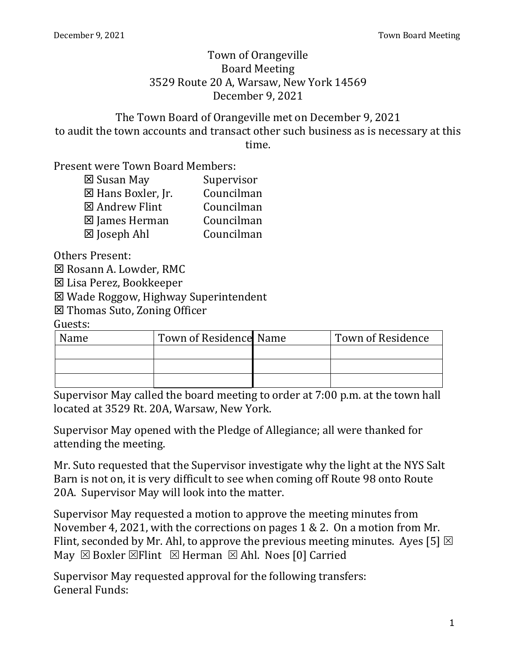#### Town of Orangeville Board Meeting 3529 Route 20 A, Warsaw, New York 14569 December 9, 2021

The Town Board of Orangeville met on December 9, 2021 to audit the town accounts and transact other such business as is necessary at this time.

Present were Town Board Members:

| Supervisor |
|------------|
| Councilman |
| Councilman |
| Councilman |
| Councilman |
|            |

Others Present:

**⊠ Rosann A. Lowder, RMC** 

Lisa Perez, Bookkeeper

Wade Roggow, Highway Superintendent

Thomas Suto, Zoning Officer

Guests:

| Name | Town of Residence Name | <b>Town of Residence</b> |
|------|------------------------|--------------------------|
|      |                        |                          |
|      |                        |                          |
|      |                        |                          |

Supervisor May called the board meeting to order at 7:00 p.m. at the town hall located at 3529 Rt. 20A, Warsaw, New York.

Supervisor May opened with the Pledge of Allegiance; all were thanked for attending the meeting.

Mr. Suto requested that the Supervisor investigate why the light at the NYS Salt Barn is not on, it is very difficult to see when coming off Route 98 onto Route 20A. Supervisor May will look into the matter.

Supervisor May requested a motion to approve the meeting minutes from November 4, 2021, with the corrections on pages 1 & 2. On a motion from Mr. Flint, seconded by Mr. Ahl, to approve the previous meeting minutes. Ayes [5]  $\boxtimes$ May  $\boxtimes$  Boxler  $\boxtimes$  Flint  $\boxtimes$  Herman  $\boxtimes$  Ahl. Noes [0] Carried

Supervisor May requested approval for the following transfers: General Funds: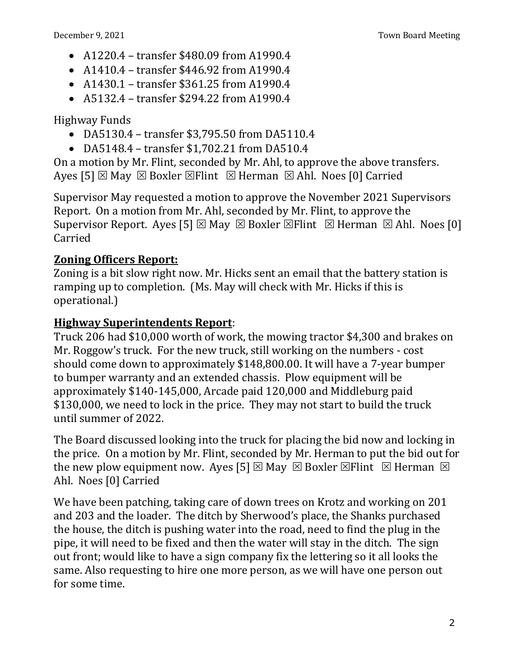- A1220.4 transfer \$480.09 from A1990.4
- A1410.4 transfer \$446.92 from A1990.4
- A1430.1 transfer \$361.25 from A1990.4
- A5132.4 transfer \$294.22 from A1990.4

Highway Funds

- DA5130.4 transfer \$3,795.50 from DA5110.4
- DA5148.4 transfer \$1,702.21 from DA510.4

On a motion by Mr. Flint, seconded by Mr. Ahl, to approve the above transfers. Ayes [5]  $\boxtimes$  May  $\boxtimes$  Boxler  $\boxtimes$  Flint  $\boxtimes$  Herman  $\boxtimes$  Ahl. Noes [0] Carried

Supervisor May requested a motion to approve the November 2021 Supervisors Report. On a motion from Mr. Ahl, seconded by Mr. Flint, to approve the Supervisor Report. Ayes [5]  $\boxtimes$  May  $\boxtimes$  Boxler  $\boxtimes$  Flint  $\boxtimes$  Herman  $\boxtimes$  Ahl. Noes [0] Carried

## **Zoning Officers Report:**

Zoning is a bit slow right now. Mr. Hicks sent an email that the battery station is ramping up to completion. (Ms. May will check with Mr. Hicks if this is operational.)

## **Highway Superintendents Report**:

Truck 206 had \$10,000 worth of work, the mowing tractor \$4,300 and brakes on Mr. Roggow's truck. For the new truck, still working on the numbers - cost should come down to approximately \$148,800.00. It will have a 7-year bumper to bumper warranty and an extended chassis. Plow equipment will be approximately \$140-145,000, Arcade paid 120,000 and Middleburg paid \$130,000, we need to lock in the price. They may not start to build the truck until summer of 2022.

The Board discussed looking into the truck for placing the bid now and locking in the price. On a motion by Mr. Flint, seconded by Mr. Herman to put the bid out for the new plow equipment now. Ayes [5]  $\boxtimes$  May  $\boxtimes$  Boxler  $\boxtimes$  Flint  $\boxtimes$  Herman  $\boxtimes$ Ahl. Noes [0] Carried

We have been patching, taking care of down trees on Krotz and working on 201 and 203 and the loader. The ditch by Sherwood's place, the Shanks purchased the house, the ditch is pushing water into the road, need to find the plug in the pipe, it will need to be fixed and then the water will stay in the ditch. The sign out front; would like to have a sign company fix the lettering so it all looks the same. Also requesting to hire one more person, as we will have one person out for some time.